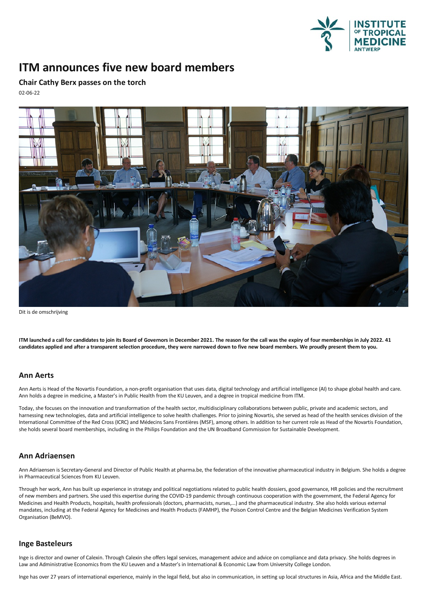

# **ITM announces five new board members**

**Chair Cathy Berx passes on the torch** 02-06-22



Dit is de omschrijving

ITM launched a call for candidates to join its Board of Governors in December 2021. The reason for the call was the expiry of four memberships in July 2022. 41 candidates applied and after a transparent selection procedure, they were narrowed down to five new board members. We proudly present them to you.

## **Ann Aerts**

Ann Aerts is Head of the Novartis Foundation, a non-profit organisation that uses data, digital technology and artificial intelligence (AI) to shape global health and care. Ann holds a degree in medicine, a Master's in Public Health from the KU Leuven, and a degree in tropical medicine from ITM.

Today, she focuses on the innovation and transformation of the health sector, multidisciplinary collaborations between public, private and academic sectors, and harnessing new technologies, dataand artificial intelligence to solve health challenges. Prior to joining Novartis, she served as head of the health services division of the International Committee of the Red Cross (ICRC) and Médecins Sans Frontières (MSF), among others. In addition to her current role as Head of the Novartis Foundation, she holds several board memberships, including in the Philips Foundation and the UN Broadband Commission for Sustainable Development.

# **Ann Adriaensen**

Ann Adriaensen is Secretary-General and Director of Public Health at pharma.be, the federation of the innovative pharmaceutical industry in Belgium. She holds a degree in Pharmaceutical Sciences from KU Leuven.

Through her work. Ann has built up experience in strategy and political negotiations related to public health dossiers, good governance, HR policies and the recruitment of new members and partners. She used this expertise during the COVID-19 pandemic through continuous cooperation with the government, the Federal Agency for<br>Medicines and Health Products, hospitals, health professionals (d Organisation (BeMVO).

#### **Inge Basteleurs**

Inge is director and owner of Calexin. Through Calexin she offers legal services, management advice and advice on compliance and data privacy. She holds degrees in Law and Administrative Economics from the KU Leuven and a Master's in International & Economic Law from University College London.

Inge has over 27 years of international experience, mainly in the legal field, but also in communication, in setting up local structures in Asia, Africa and the Middle East.